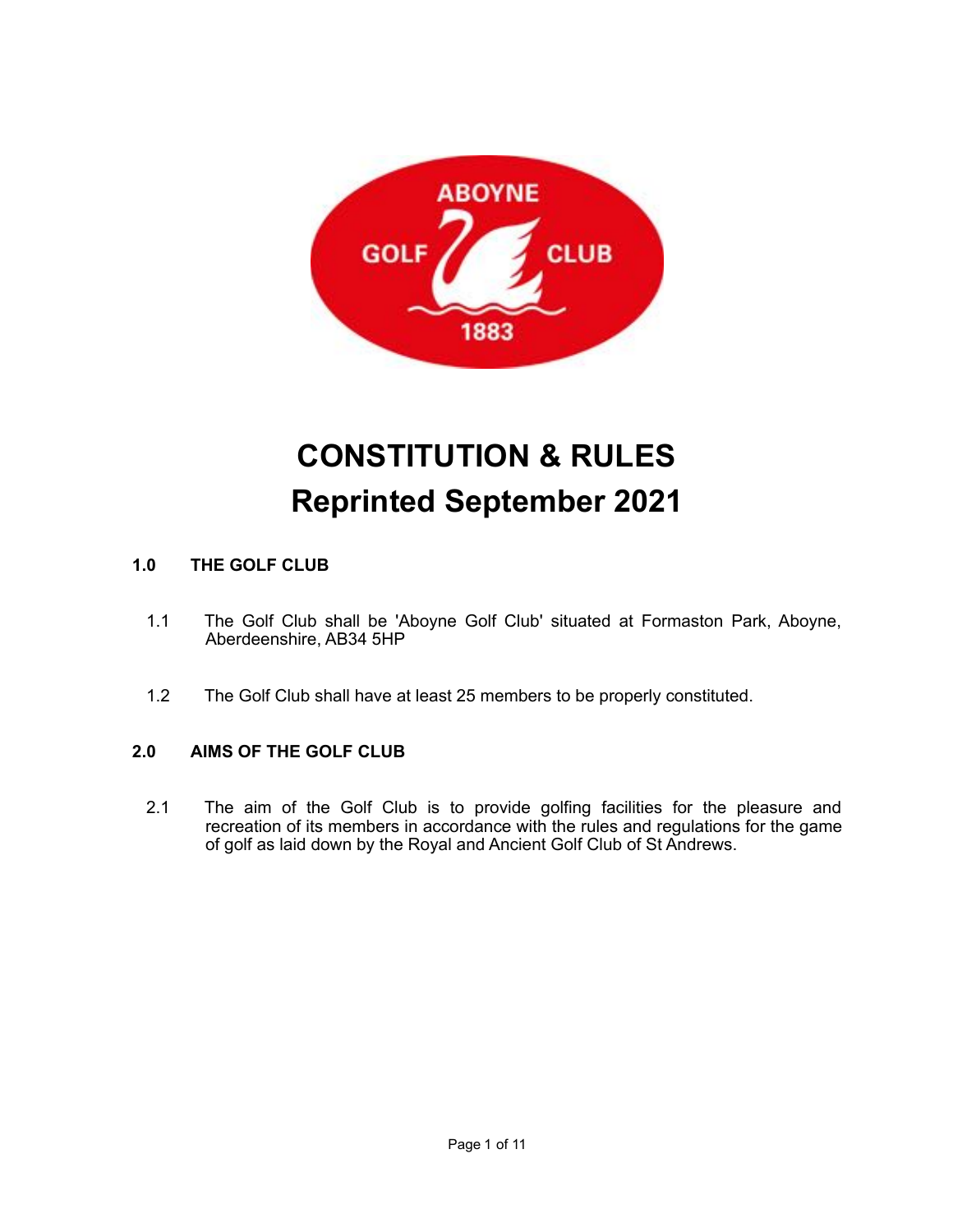

# **CONSTITUTION & RULES Reprinted September 2021**

# **1.0 THE GOLF CLUB**

- 1.1 The Golf Club shall be 'Aboyne Golf Club' situated at Formaston Park, Aboyne, Aberdeenshire, AB34 5HP
- 1.2 The Golf Club shall have at least 25 members to be properly constituted.

# **2.0 AIMS OF THE GOLF CLUB**

2.1 The aim of the Golf Club is to provide golfing facilities for the pleasure and recreation of its members in accordance with the rules and regulations for the game of golf as laid down by the Royal and Ancient Golf Club of St Andrews.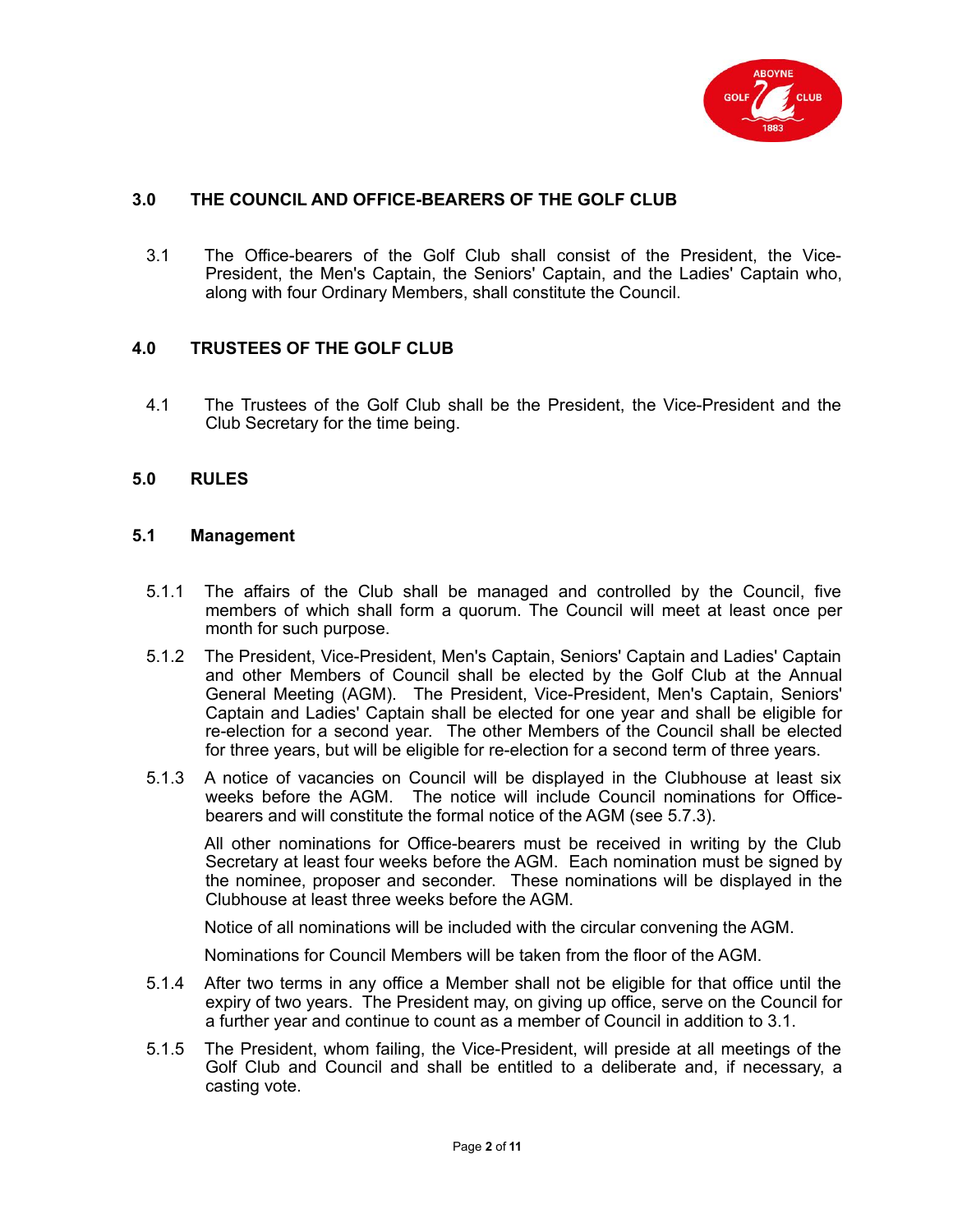

## **3.0 THE COUNCIL AND OFFICE-BEARERS OF THE GOLF CLUB**

3.1 The Office-bearers of the Golf Club shall consist of the President, the Vice-President, the Men's Captain, the Seniors' Captain, and the Ladies' Captain who, along with four Ordinary Members, shall constitute the Council.

## **4.0 TRUSTEES OF THE GOLF CLUB**

4.1 The Trustees of the Golf Club shall be the President, the Vice-President and the Club Secretary for the time being.

#### **5.0 RULES**

#### **5.1 Management**

- 5.1.1 The affairs of the Club shall be managed and controlled by the Council, five members of which shall form a quorum. The Council will meet at least once per month for such purpose.
- 5.1.2 The President, Vice-President, Men's Captain, Seniors' Captain and Ladies' Captain and other Members of Council shall be elected by the Golf Club at the Annual General Meeting (AGM). The President, Vice-President, Men's Captain, Seniors' Captain and Ladies' Captain shall be elected for one year and shall be eligible for re-election for a second year. The other Members of the Council shall be elected for three years, but will be eligible for re-election for a second term of three years.
- 5.1.3 A notice of vacancies on Council will be displayed in the Clubhouse at least six weeks before the AGM. The notice will include Council nominations for Officebearers and will constitute the formal notice of the AGM (see 5.7.3).

All other nominations for Office-bearers must be received in writing by the Club Secretary at least four weeks before the AGM. Each nomination must be signed by the nominee, proposer and seconder. These nominations will be displayed in the Clubhouse at least three weeks before the AGM.

Notice of all nominations will be included with the circular convening the AGM.

Nominations for Council Members will be taken from the floor of the AGM.

- 5.1.4 After two terms in any office a Member shall not be eligible for that office until the expiry of two years. The President may, on giving up office, serve on the Council for a further year and continue to count as a member of Council in addition to 3.1.
- 5.1.5 The President, whom failing, the Vice-President, will preside at all meetings of the Golf Club and Council and shall be entitled to a deliberate and, if necessary, a casting vote.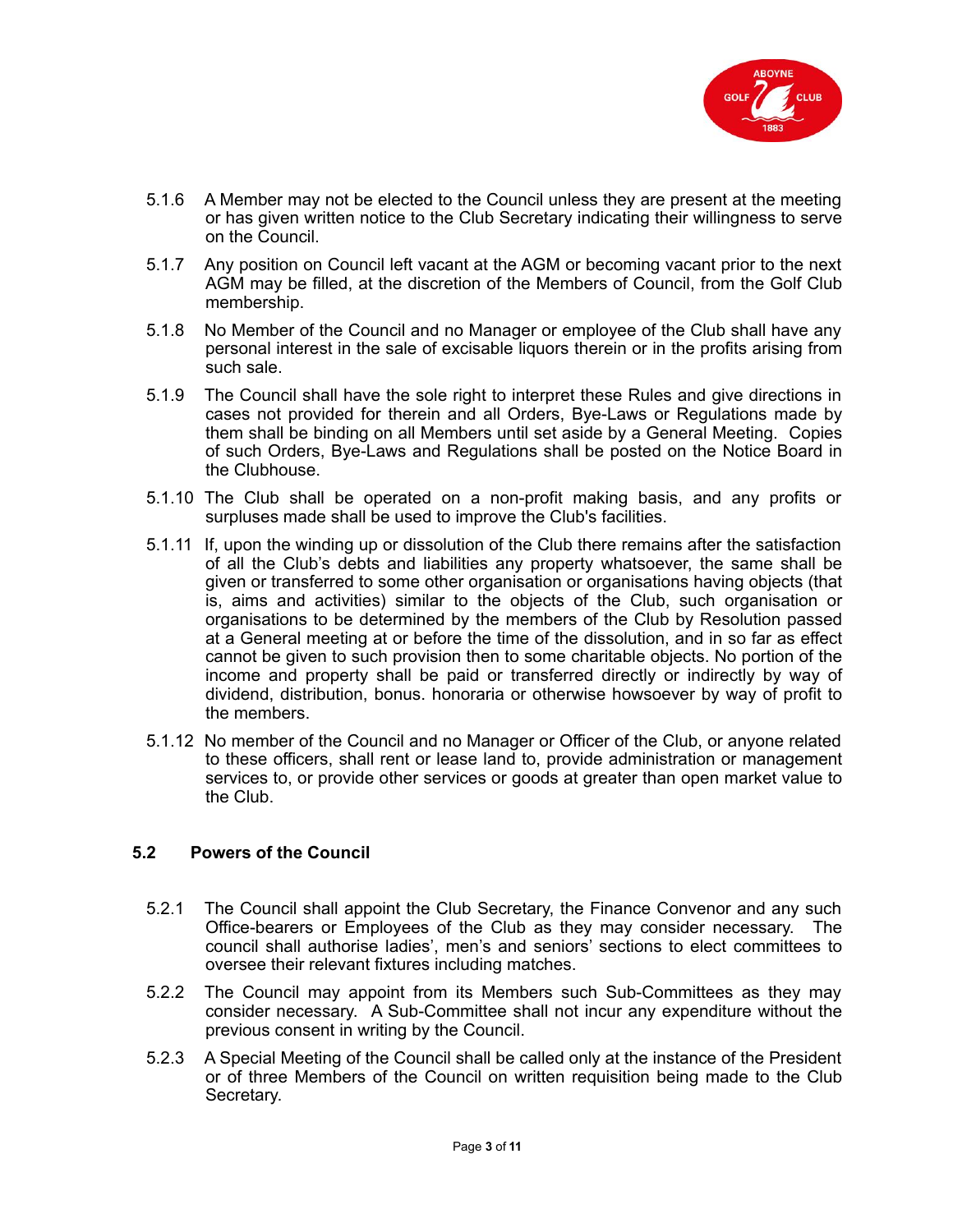

- 5.1.6 A Member may not be elected to the Council unless they are present at the meeting or has given written notice to the Club Secretary indicating their willingness to serve on the Council.
- 5.1.7 Any position on Council left vacant at the AGM or becoming vacant prior to the next AGM may be filled, at the discretion of the Members of Council, from the Golf Club membership.
- 5.1.8 No Member of the Council and no Manager or employee of the Club shall have any personal interest in the sale of excisable liquors therein or in the profits arising from such sale.
- 5.1.9 The Council shall have the sole right to interpret these Rules and give directions in cases not provided for therein and all Orders, Bye-Laws or Regulations made by them shall be binding on all Members until set aside by a General Meeting. Copies of such Orders, Bye-Laws and Regulations shall be posted on the Notice Board in the Clubhouse.
- 5.1.10 The Club shall be operated on a non-profit making basis, and any profits or surpluses made shall be used to improve the Club's facilities.
- 5.1.11 If, upon the winding up or dissolution of the Club there remains after the satisfaction of all the Club's debts and liabilities any property whatsoever, the same shall be given or transferred to some other organisation or organisations having objects (that is, aims and activities) similar to the objects of the Club, such organisation or organisations to be determined by the members of the Club by Resolution passed at a General meeting at or before the time of the dissolution, and in so far as effect cannot be given to such provision then to some charitable objects. No portion of the income and property shall be paid or transferred directly or indirectly by way of dividend, distribution, bonus. honoraria or otherwise howsoever by way of profit to the members.
- 5.1.12 No member of the Council and no Manager or Officer of the Club, or anyone related to these officers, shall rent or lease land to, provide administration or management services to, or provide other services or goods at greater than open market value to the Club.

## **5.2 Powers of the Council**

- 5.2.1 The Council shall appoint the Club Secretary, the Finance Convenor and any such Office-bearers or Employees of the Club as they may consider necessary. The council shall authorise ladies', men's and seniors' sections to elect committees to oversee their relevant fixtures including matches.
- 5.2.2 The Council may appoint from its Members such Sub-Committees as they may consider necessary. A Sub-Committee shall not incur any expenditure without the previous consent in writing by the Council.
- 5.2.3 A Special Meeting of the Council shall be called only at the instance of the President or of three Members of the Council on written requisition being made to the Club Secretary.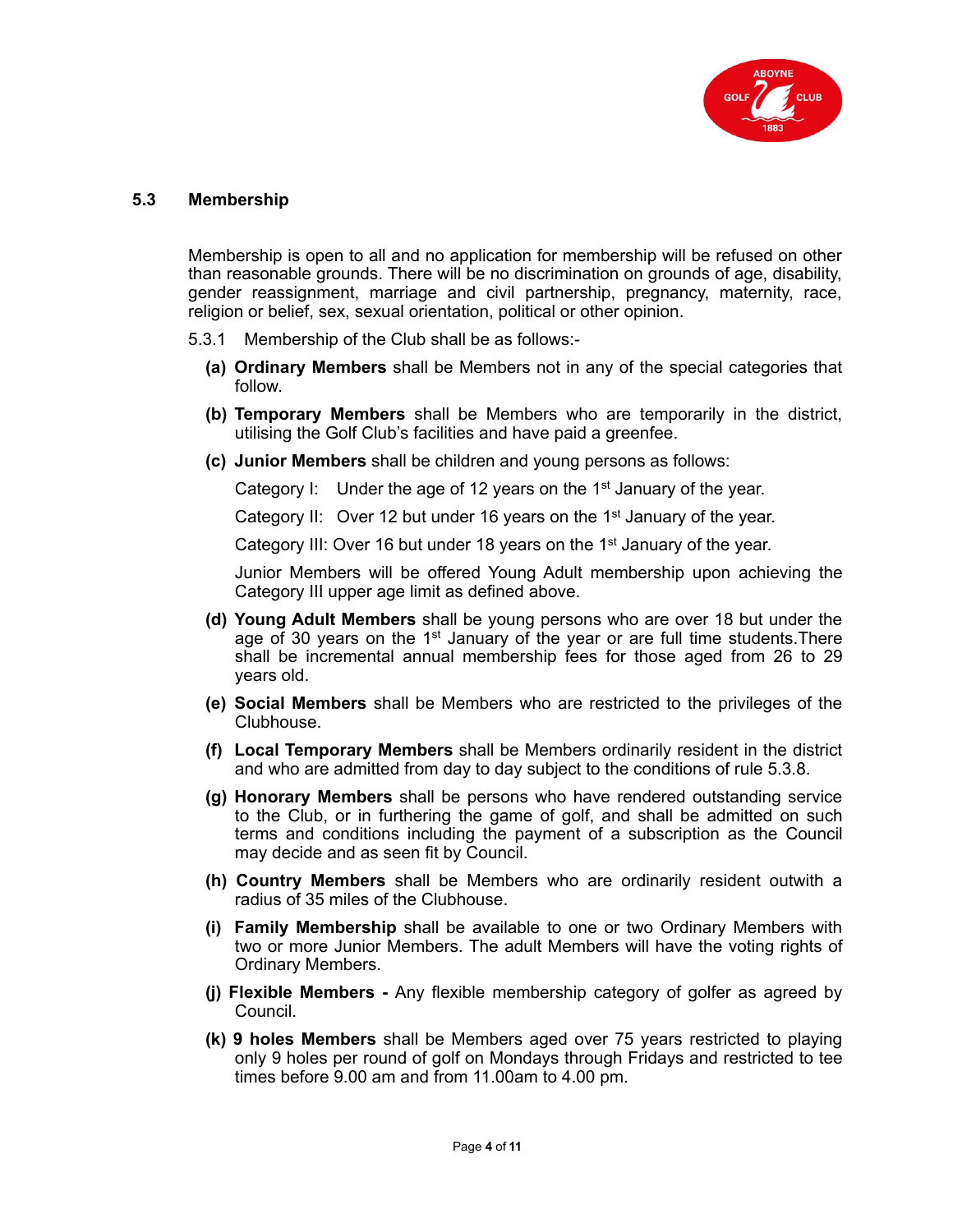

#### **5.3 Membership**

Membership is open to all and no application for membership will be refused on other than reasonable grounds. There will be no discrimination on grounds of age, disability, gender reassignment, marriage and civil partnership, pregnancy, maternity, race, religion or belief, sex, sexual orientation, political or other opinion.

- 5.3.1 Membership of the Club shall be as follows:-
	- **(a) Ordinary Members** shall be Members not in any of the special categories that follow.
	- **(b) Temporary Members** shall be Members who are temporarily in the district, utilising the Golf Club's facilities and have paid a greenfee.
	- **(c) Junior Members** shall be children and young persons as follows:

Category I: Under the age of 12 years on the  $1<sup>st</sup>$  January of the year.

Category II: Over 12 but under 16 years on the  $1<sup>st</sup>$  January of the year.

Category III: Over 16 but under 18 years on the 1<sup>st</sup> January of the year.

Junior Members will be offered Young Adult membership upon achieving the Category III upper age limit as defined above.

- **(d) Young Adult Members** shall be young persons who are over 18 but under the age of 30 years on the  $1<sup>st</sup>$  January of the year or are full time students. There shall be incremental annual membership fees for those aged from 26 to 29 years old.
- **(e) Social Members** shall be Members who are restricted to the privileges of the Clubhouse.
- **(f) Local Temporary Members** shall be Members ordinarily resident in the district and who are admitted from day to day subject to the conditions of rule 5.3.8.
- **(g) Honorary Members** shall be persons who have rendered outstanding service to the Club, or in furthering the game of golf, and shall be admitted on such terms and conditions including the payment of a subscription as the Council may decide and as seen fit by Council.
- **(h) Country Members** shall be Members who are ordinarily resident outwith a radius of 35 miles of the Clubhouse.
- **(i) Family Membership** shall be available to one or two Ordinary Members with two or more Junior Members. The adult Members will have the voting rights of Ordinary Members.
- **(j) Flexible Members** Any flexible membership category of golfer as agreed by Council.
- **(k) 9 holes Members** shall be Members aged over 75 years restricted to playing only 9 holes per round of golf on Mondays through Fridays and restricted to tee times before 9.00 am and from 11.00am to 4.00 pm.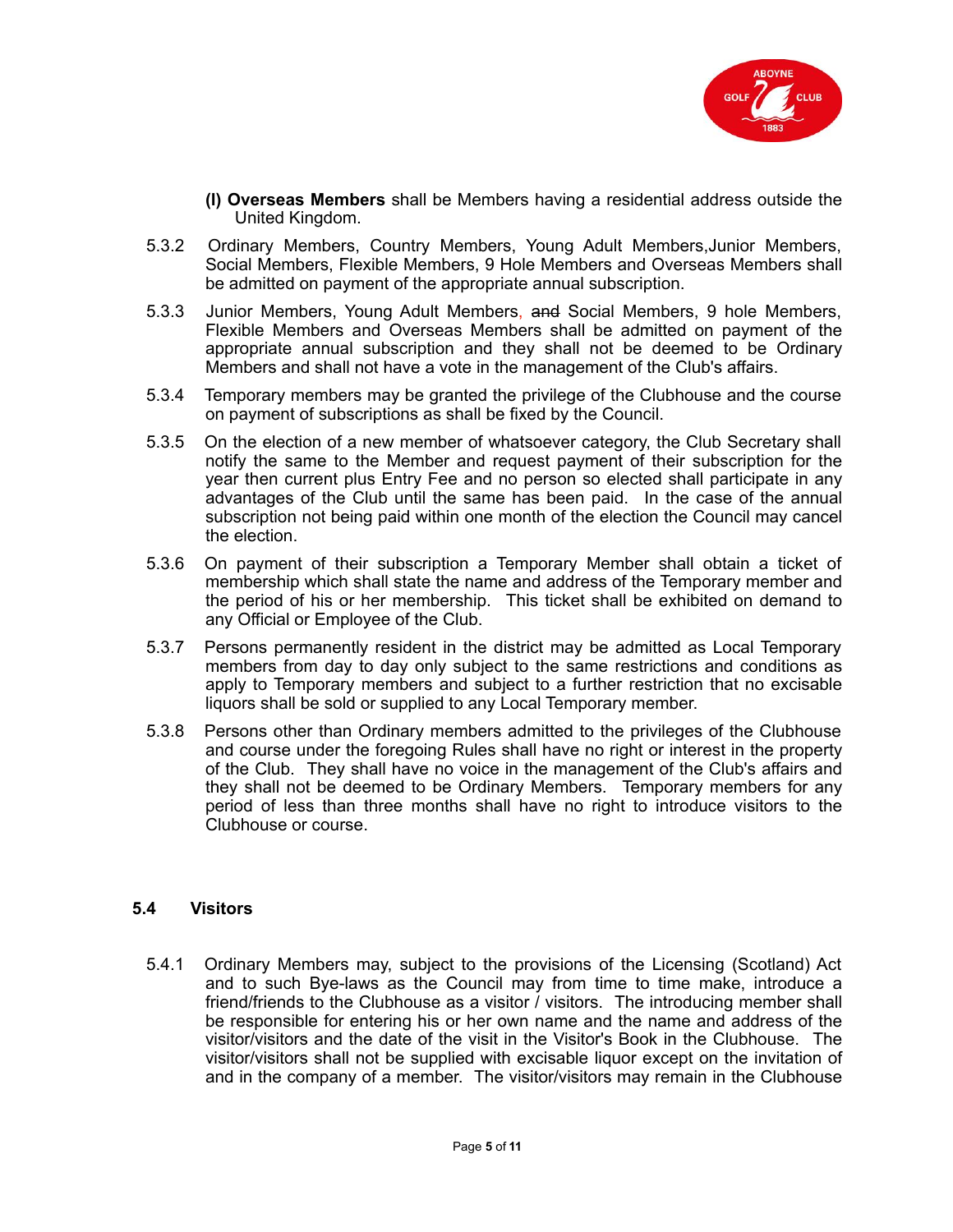

- **(l) Overseas Members** shall be Members having a residential address outside the United Kingdom.
- 5.3.2 Ordinary Members, Country Members, Young Adult Members,Junior Members, Social Members, Flexible Members, 9 Hole Members and Overseas Members shall be admitted on payment of the appropriate annual subscription.
- 5.3.3 Junior Members, Young Adult Members, and Social Members, 9 hole Members, Flexible Members and Overseas Members shall be admitted on payment of the appropriate annual subscription and they shall not be deemed to be Ordinary Members and shall not have a vote in the management of the Club's affairs.
- 5.3.4 Temporary members may be granted the privilege of the Clubhouse and the course on payment of subscriptions as shall be fixed by the Council.
- 5.3.5 On the election of a new member of whatsoever category, the Club Secretary shall notify the same to the Member and request payment of their subscription for the year then current plus Entry Fee and no person so elected shall participate in any advantages of the Club until the same has been paid. In the case of the annual subscription not being paid within one month of the election the Council may cancel the election.
- 5.3.6 On payment of their subscription a Temporary Member shall obtain a ticket of membership which shall state the name and address of the Temporary member and the period of his or her membership. This ticket shall be exhibited on demand to any Official or Employee of the Club.
- 5.3.7 Persons permanently resident in the district may be admitted as Local Temporary members from day to day only subject to the same restrictions and conditions as apply to Temporary members and subject to a further restriction that no excisable liquors shall be sold or supplied to any Local Temporary member.
- 5.3.8 Persons other than Ordinary members admitted to the privileges of the Clubhouse and course under the foregoing Rules shall have no right or interest in the property of the Club. They shall have no voice in the management of the Club's affairs and they shall not be deemed to be Ordinary Members. Temporary members for any period of less than three months shall have no right to introduce visitors to the Clubhouse or course.

## **5.4 Visitors**

5.4.1 Ordinary Members may, subject to the provisions of the Licensing (Scotland) Act and to such Bye-laws as the Council may from time to time make, introduce a friend/friends to the Clubhouse as a visitor / visitors. The introducing member shall be responsible for entering his or her own name and the name and address of the visitor/visitors and the date of the visit in the Visitor's Book in the Clubhouse. The visitor/visitors shall not be supplied with excisable liquor except on the invitation of and in the company of a member. The visitor/visitors may remain in the Clubhouse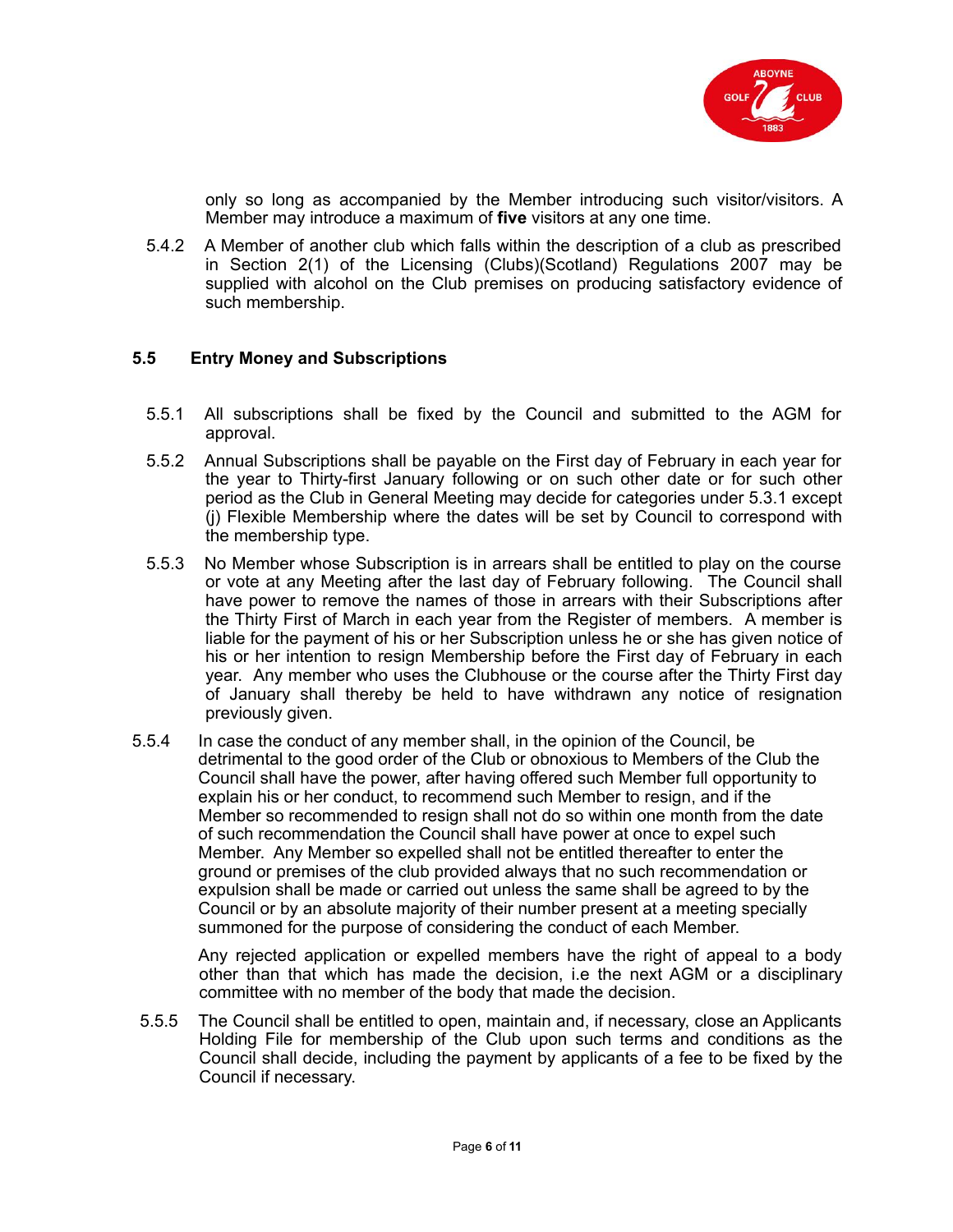

only so long as accompanied by the Member introducing such visitor/visitors. A Member may introduce a maximum of **five** visitors at any one time.

5.4.2 A Member of another club which falls within the description of a club as prescribed in Section 2(1) of the Licensing (Clubs)(Scotland) Regulations 2007 may be supplied with alcohol on the Club premises on producing satisfactory evidence of such membership.

#### **5.5 Entry Money and Subscriptions**

- 5.5.1 All subscriptions shall be fixed by the Council and submitted to the AGM for approval.
- 5.5.2 Annual Subscriptions shall be payable on the First day of February in each year for the year to Thirty-first January following or on such other date or for such other period as the Club in General Meeting may decide for categories under 5.3.1 except (j) Flexible Membership where the dates will be set by Council to correspond with the membership type.
- 5.5.3 No Member whose Subscription is in arrears shall be entitled to play on the course or vote at any Meeting after the last day of February following. The Council shall have power to remove the names of those in arrears with their Subscriptions after the Thirty First of March in each year from the Register of members. A member is liable for the payment of his or her Subscription unless he or she has given notice of his or her intention to resign Membership before the First day of February in each year. Any member who uses the Clubhouse or the course after the Thirty First day of January shall thereby be held to have withdrawn any notice of resignation previously given.
- 5.5.4 In case the conduct of any member shall, in the opinion of the Council, be detrimental to the good order of the Club or obnoxious to Members of the Club the Council shall have the power, after having offered such Member full opportunity to explain his or her conduct, to recommend such Member to resign, and if the Member so recommended to resign shall not do so within one month from the date of such recommendation the Council shall have power at once to expel such Member. Any Member so expelled shall not be entitled thereafter to enter the ground or premises of the club provided always that no such recommendation or expulsion shall be made or carried out unless the same shall be agreed to by the Council or by an absolute majority of their number present at a meeting specially summoned for the purpose of considering the conduct of each Member.

Any rejected application or expelled members have the right of appeal to a body other than that which has made the decision, i.e the next AGM or a disciplinary committee with no member of the body that made the decision.

5.5.5 The Council shall be entitled to open, maintain and, if necessary, close an Applicants Holding File for membership of the Club upon such terms and conditions as the Council shall decide, including the payment by applicants of a fee to be fixed by the Council if necessary.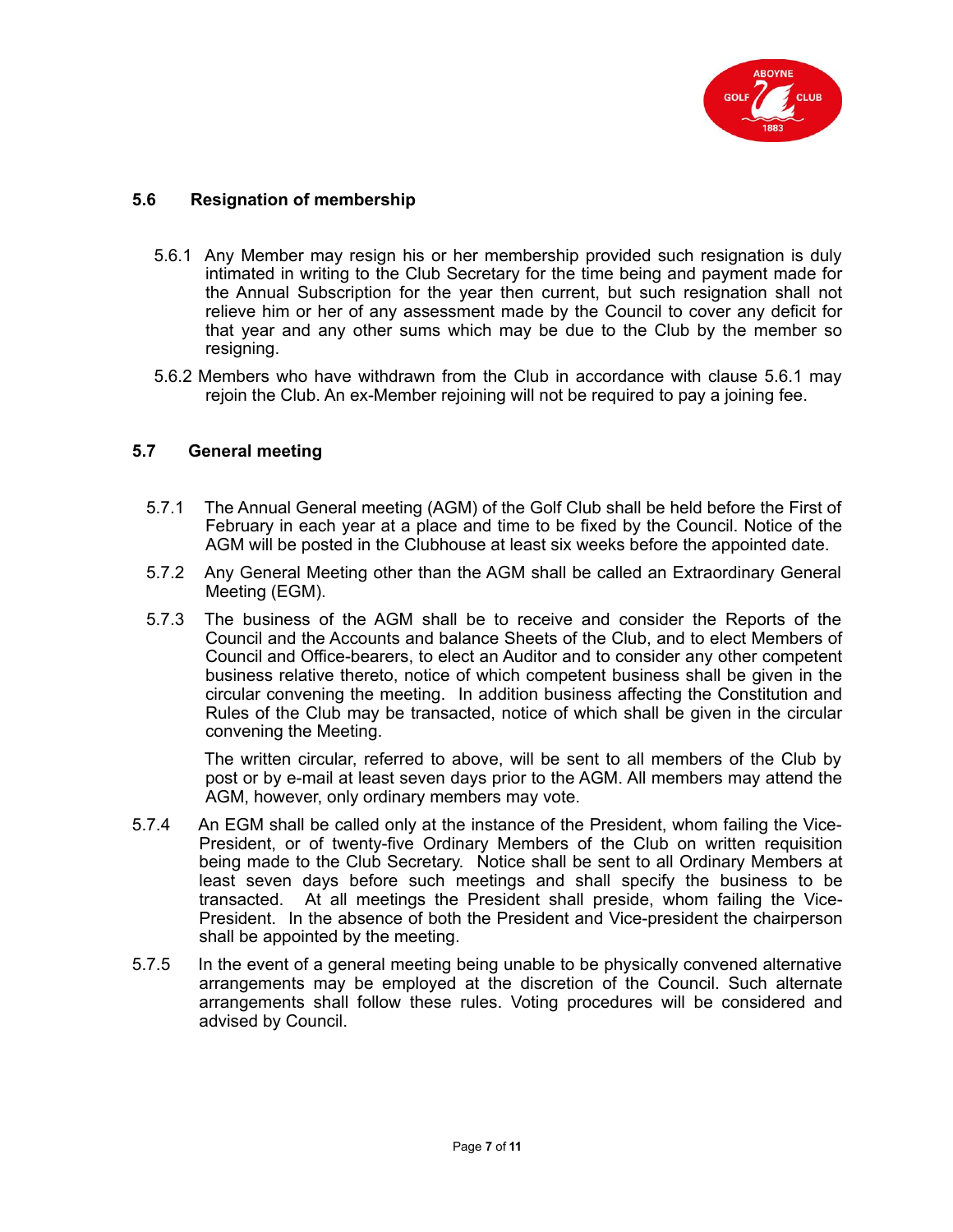

## **5.6 Resignation of membership**

- 5.6.1 Any Member may resign his or her membership provided such resignation is duly intimated in writing to the Club Secretary for the time being and payment made for the Annual Subscription for the year then current, but such resignation shall not relieve him or her of any assessment made by the Council to cover any deficit for that year and any other sums which may be due to the Club by the member so resigning.
- 5.6.2 Members who have withdrawn from the Club in accordance with clause 5.6.1 may rejoin the Club. An ex-Member rejoining will not be required to pay a joining fee.

## **5.7 General meeting**

- 5.7.1 The Annual General meeting (AGM) of the Golf Club shall be held before the First of February in each year at a place and time to be fixed by the Council. Notice of the AGM will be posted in the Clubhouse at least six weeks before the appointed date.
- 5.7.2 Any General Meeting other than the AGM shall be called an Extraordinary General Meeting (EGM).
- 5.7.3 The business of the AGM shall be to receive and consider the Reports of the Council and the Accounts and balance Sheets of the Club, and to elect Members of Council and Office-bearers, to elect an Auditor and to consider any other competent business relative thereto, notice of which competent business shall be given in the circular convening the meeting. In addition business affecting the Constitution and Rules of the Club may be transacted, notice of which shall be given in the circular convening the Meeting.

The written circular, referred to above, will be sent to all members of the Club by post or by e-mail at least seven days prior to the AGM. All members may attend the AGM, however, only ordinary members may vote.

- 5.7.4 An EGM shall be called only at the instance of the President, whom failing the Vice-President, or of twenty-five Ordinary Members of the Club on written requisition being made to the Club Secretary. Notice shall be sent to all Ordinary Members at least seven days before such meetings and shall specify the business to be transacted. At all meetings the President shall preside, whom failing the Vice-President. In the absence of both the President and Vice-president the chairperson shall be appointed by the meeting.
- 5.7.5 In the event of a general meeting being unable to be physically convened alternative arrangements may be employed at the discretion of the Council. Such alternate arrangements shall follow these rules. Voting procedures will be considered and advised by Council.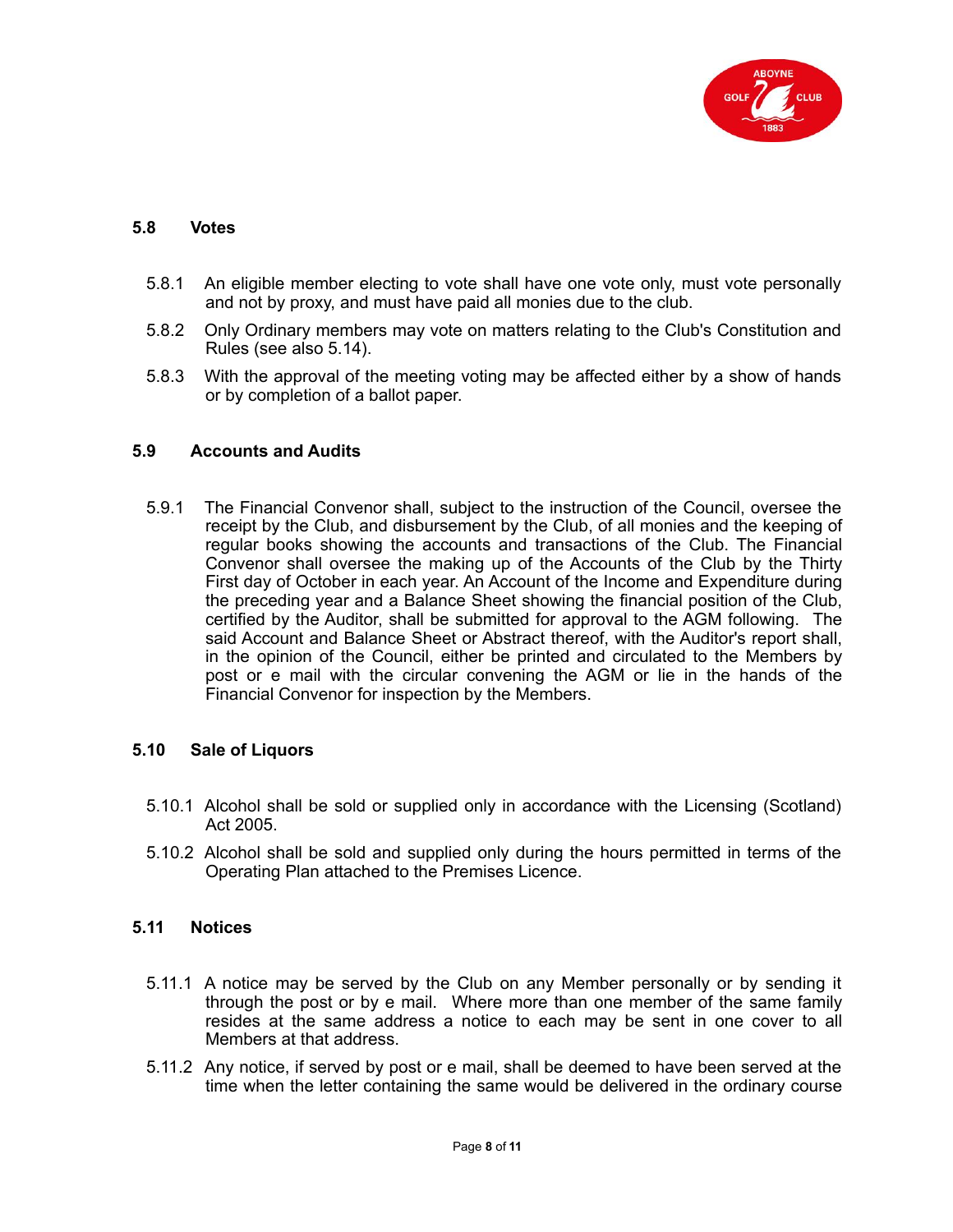

#### **5.8 Votes**

- 5.8.1 An eligible member electing to vote shall have one vote only, must vote personally and not by proxy, and must have paid all monies due to the club.
- 5.8.2 Only Ordinary members may vote on matters relating to the Club's Constitution and Rules (see also 5.14).
- 5.8.3 With the approval of the meeting voting may be affected either by a show of hands or by completion of a ballot paper.

#### **5.9 Accounts and Audits**

5.9.1 The Financial Convenor shall, subject to the instruction of the Council, oversee the receipt by the Club, and disbursement by the Club, of all monies and the keeping of regular books showing the accounts and transactions of the Club. The Financial Convenor shall oversee the making up of the Accounts of the Club by the Thirty First day of October in each year. An Account of the Income and Expenditure during the preceding year and a Balance Sheet showing the financial position of the Club, certified by the Auditor, shall be submitted for approval to the AGM following. The said Account and Balance Sheet or Abstract thereof, with the Auditor's report shall, in the opinion of the Council, either be printed and circulated to the Members by post or e mail with the circular convening the AGM or lie in the hands of the Financial Convenor for inspection by the Members.

## **5.10 Sale of Liquors**

- 5.10.1 Alcohol shall be sold or supplied only in accordance with the Licensing (Scotland) Act 2005.
- 5.10.2 Alcohol shall be sold and supplied only during the hours permitted in terms of the Operating Plan attached to the Premises Licence.

## **5.11 Notices**

- 5.11.1 A notice may be served by the Club on any Member personally or by sending it through the post or by e mail. Where more than one member of the same family resides at the same address a notice to each may be sent in one cover to all Members at that address.
- 5.11.2 Any notice, if served by post or e mail, shall be deemed to have been served at the time when the letter containing the same would be delivered in the ordinary course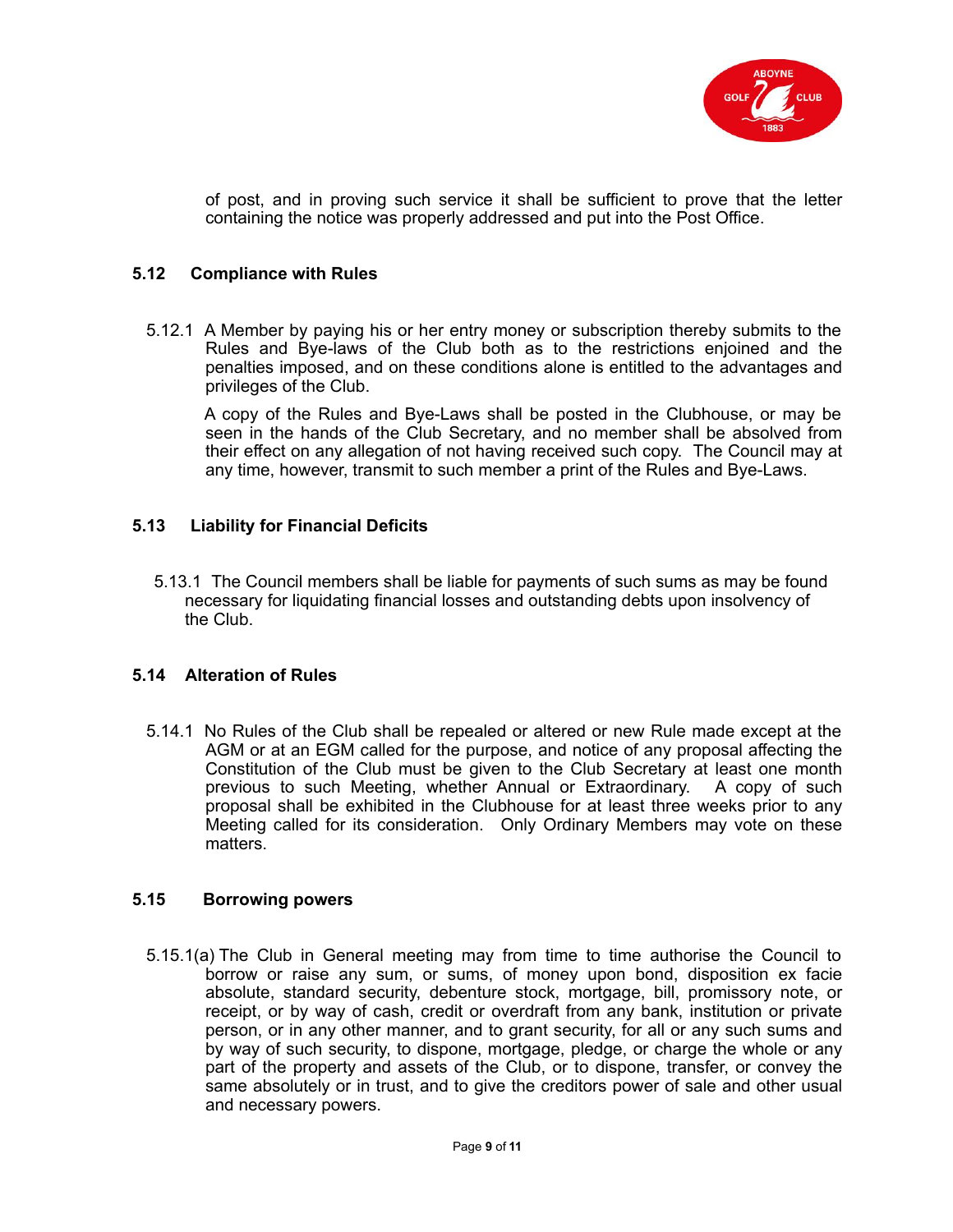

of post, and in proving such service it shall be sufficient to prove that the letter containing the notice was properly addressed and put into the Post Office.

## **5.12 Compliance with Rules**

5.12.1 A Member by paying his or her entry money or subscription thereby submits to the Rules and Bye-laws of the Club both as to the restrictions enjoined and the penalties imposed, and on these conditions alone is entitled to the advantages and privileges of the Club.

A copy of the Rules and Bye-Laws shall be posted in the Clubhouse, or may be seen in the hands of the Club Secretary, and no member shall be absolved from their effect on any allegation of not having received such copy. The Council may at any time, however, transmit to such member a print of the Rules and Bye-Laws.

#### **5.13 Liability for Financial Deficits**

5.13.1 The Council members shall be liable for payments of such sums as may be found necessary for liquidating financial losses and outstanding debts upon insolvency of the Club.

#### **5.14 Alteration of Rules**

5.14.1 No Rules of the Club shall be repealed or altered or new Rule made except at the AGM or at an EGM called for the purpose, and notice of any proposal affecting the Constitution of the Club must be given to the Club Secretary at least one month previous to such Meeting, whether Annual or Extraordinary. A copy of such proposal shall be exhibited in the Clubhouse for at least three weeks prior to any Meeting called for its consideration. Only Ordinary Members may vote on these matters.

## **5.15 Borrowing powers**

5.15.1(a) The Club in General meeting may from time to time authorise the Council to borrow or raise any sum, or sums, of money upon bond, disposition ex facie absolute, standard security, debenture stock, mortgage, bill, promissory note, or receipt, or by way of cash, credit or overdraft from any bank, institution or private person, or in any other manner, and to grant security, for all or any such sums and by way of such security, to dispone, mortgage, pledge, or charge the whole or any part of the property and assets of the Club, or to dispone, transfer, or convey the same absolutely or in trust, and to give the creditors power of sale and other usual and necessary powers.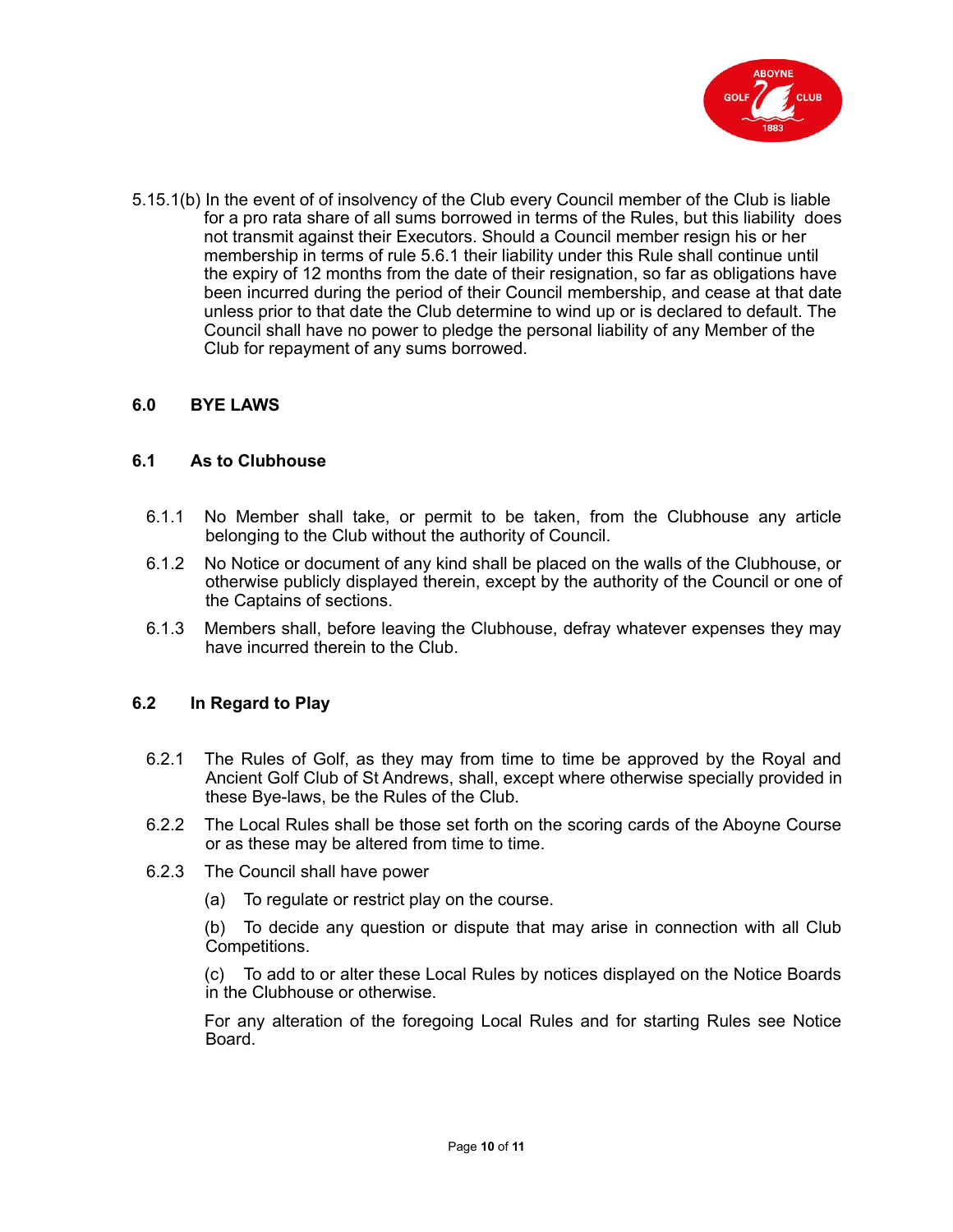

5.15.1(b) In the event of of insolvency of the Club every Council member of the Club is liable for a pro rata share of all sums borrowed in terms of the Rules, but this liability does not transmit against their Executors. Should a Council member resign his or her membership in terms of rule 5.6.1 their liability under this Rule shall continue until the expiry of 12 months from the date of their resignation, so far as obligations have been incurred during the period of their Council membership, and cease at that date unless prior to that date the Club determine to wind up or is declared to default. The Council shall have no power to pledge the personal liability of any Member of the Club for repayment of any sums borrowed.

## **6.0 BYE LAWS**

#### **6.1 As to Clubhouse**

- 6.1.1 No Member shall take, or permit to be taken, from the Clubhouse any article belonging to the Club without the authority of Council.
- 6.1.2 No Notice or document of any kind shall be placed on the walls of the Clubhouse, or otherwise publicly displayed therein, except by the authority of the Council or one of the Captains of sections.
- 6.1.3 Members shall, before leaving the Clubhouse, defray whatever expenses they may have incurred therein to the Club.

## **6.2 In Regard to Play**

- 6.2.1 The Rules of Golf, as they may from time to time be approved by the Royal and Ancient Golf Club of St Andrews, shall, except where otherwise specially provided in these Bye-laws, be the Rules of the Club.
- 6.2.2 The Local Rules shall be those set forth on the scoring cards of the Aboyne Course or as these may be altered from time to time.
- 6.2.3 The Council shall have power
	- (a) To regulate or restrict play on the course.

(b) To decide any question or dispute that may arise in connection with all Club Competitions.

(c) To add to or alter these Local Rules by notices displayed on the Notice Boards in the Clubhouse or otherwise.

For any alteration of the foregoing Local Rules and for starting Rules see Notice Board.